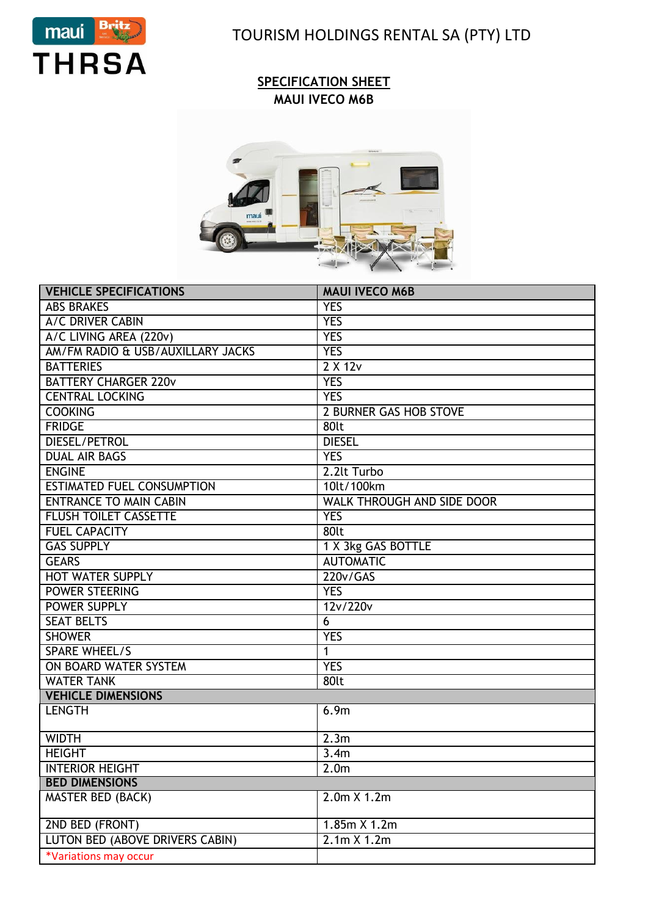

TOURISM HOLDINGS RENTAL SA (PTY) LTD

## **SPECIFICATION SHEET MAUI IVECO M6B**



| <b>VEHICLE SPECIFICATIONS</b>     | <b>MAUI IVECO M6B</b>             |  |  |
|-----------------------------------|-----------------------------------|--|--|
| <b>ABS BRAKES</b>                 | <b>YES</b>                        |  |  |
| A/C DRIVER CABIN                  | <b>YES</b>                        |  |  |
| A/C LIVING AREA (220v)            | <b>YES</b>                        |  |  |
| AM/FM RADIO & USB/AUXILLARY JACKS | <b>YES</b>                        |  |  |
| <b>BATTERIES</b>                  | $2 \times 12v$                    |  |  |
| <b>BATTERY CHARGER 220v</b>       | <b>YES</b>                        |  |  |
| <b>CENTRAL LOCKING</b>            | <b>YES</b>                        |  |  |
| <b>COOKING</b>                    | <b>2 BURNER GAS HOB STOVE</b>     |  |  |
| <b>FRIDGE</b>                     | 80lt                              |  |  |
| <b>DIESEL/PETROL</b>              | <b>DIESEL</b>                     |  |  |
| <b>DUAL AIR BAGS</b>              | <b>YES</b>                        |  |  |
| <b>ENGINE</b>                     | 2.2lt Turbo                       |  |  |
| <b>ESTIMATED FUEL CONSUMPTION</b> | 10lt/100km                        |  |  |
| <b>ENTRANCE TO MAIN CABIN</b>     | <b>WALK THROUGH AND SIDE DOOR</b> |  |  |
| <b>FLUSH TOILET CASSETTE</b>      | <b>YES</b>                        |  |  |
| <b>FUEL CAPACITY</b>              | 80lt                              |  |  |
| <b>GAS SUPPLY</b>                 | 1 X 3kg GAS BOTTLE                |  |  |
| <b>GEARS</b>                      | <b>AUTOMATIC</b>                  |  |  |
| <b>HOT WATER SUPPLY</b>           | 220v/GAS                          |  |  |
| <b>POWER STEERING</b>             | <b>YES</b>                        |  |  |
| POWER SUPPLY                      | 12v/220v                          |  |  |
| <b>SEAT BELTS</b>                 | 6                                 |  |  |
| <b>SHOWER</b>                     | <b>YES</b>                        |  |  |
| <b>SPARE WHEEL/S</b>              | $\mathbf{1}$                      |  |  |
| ON BOARD WATER SYSTEM             | <b>YES</b>                        |  |  |
| <b>WATER TANK</b>                 | 80lt                              |  |  |
| <b>VEHICLE DIMENSIONS</b>         |                                   |  |  |
| <b>LENGTH</b>                     | 6.9m                              |  |  |
| <b>WIDTH</b>                      | 2.3m                              |  |  |
| <b>HEIGHT</b>                     | 3.4m                              |  |  |
| <b>INTERIOR HEIGHT</b>            | 2.0 <sub>m</sub>                  |  |  |
| <b>BED DIMENSIONS</b>             |                                   |  |  |
| <b>MASTER BED (BACK)</b>          | 2.0m X 1.2m                       |  |  |
| 2ND BED (FRONT)                   | 1.85m X 1.2m                      |  |  |
| LUTON BED (ABOVE DRIVERS CABIN)   | 2.1m X 1.2m                       |  |  |
| *Variations may occur             |                                   |  |  |